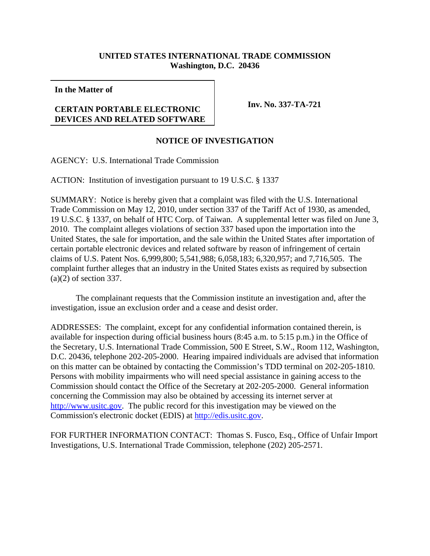## **UNITED STATES INTERNATIONAL TRADE COMMISSION Washington, D.C. 20436**

**In the Matter of**

## **CERTAIN PORTABLE ELECTRONIC DEVICES AND RELATED SOFTWARE**

**Inv. No. 337-TA-721**

## **NOTICE OF INVESTIGATION**

AGENCY: U.S. International Trade Commission

ACTION: Institution of investigation pursuant to 19 U.S.C. § 1337

SUMMARY: Notice is hereby given that a complaint was filed with the U.S. International Trade Commission on May 12, 2010, under section 337 of the Tariff Act of 1930, as amended, 19 U.S.C. § 1337, on behalf of HTC Corp. of Taiwan. A supplemental letter was filed on June 3, 2010. The complaint alleges violations of section 337 based upon the importation into the United States, the sale for importation, and the sale within the United States after importation of certain portable electronic devices and related software by reason of infringement of certain claims of U.S. Patent Nos. 6,999,800; 5,541,988; 6,058,183; 6,320,957; and 7,716,505. The complaint further alleges that an industry in the United States exists as required by subsection (a)(2) of section 337.

The complainant requests that the Commission institute an investigation and, after the investigation, issue an exclusion order and a cease and desist order.

ADDRESSES: The complaint, except for any confidential information contained therein, is available for inspection during official business hours (8:45 a.m. to 5:15 p.m.) in the Office of the Secretary, U.S. International Trade Commission, 500 E Street, S.W., Room 112, Washington, D.C. 20436, telephone 202-205-2000. Hearing impaired individuals are advised that information on this matter can be obtained by contacting the Commission's TDD terminal on 202-205-1810. Persons with mobility impairments who will need special assistance in gaining access to the Commission should contact the Office of the Secretary at 202-205-2000. General information concerning the Commission may also be obtained by accessing its internet server at http://www.usitc.gov. The public record for this investigation may be viewed on the Commission's electronic docket (EDIS) at http://edis.usitc.gov.

FOR FURTHER INFORMATION CONTACT: Thomas S. Fusco, Esq., Office of Unfair Import Investigations, U.S. International Trade Commission, telephone (202) 205-2571.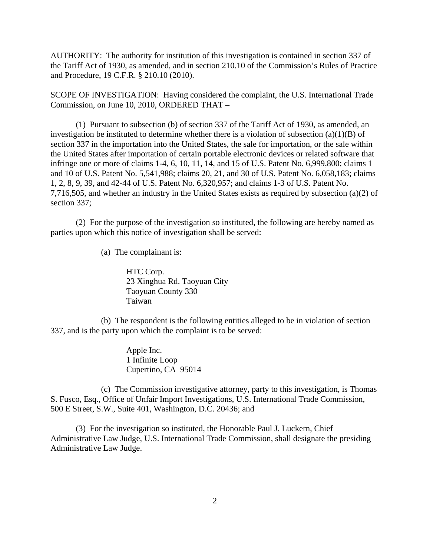AUTHORITY: The authority for institution of this investigation is contained in section 337 of the Tariff Act of 1930, as amended, and in section 210.10 of the Commission's Rules of Practice and Procedure, 19 C.F.R. § 210.10 (2010).

SCOPE OF INVESTIGATION: Having considered the complaint, the U.S. International Trade Commission, on June 10, 2010, ORDERED THAT –

(1) Pursuant to subsection (b) of section 337 of the Tariff Act of 1930, as amended, an investigation be instituted to determine whether there is a violation of subsection  $(a)(1)(B)$  of section 337 in the importation into the United States, the sale for importation, or the sale within the United States after importation of certain portable electronic devices or related software that infringe one or more of claims 1-4, 6, 10, 11, 14, and 15 of U.S. Patent No. 6,999,800; claims 1 and 10 of U.S. Patent No. 5,541,988; claims 20, 21, and 30 of U.S. Patent No. 6,058,183; claims 1, 2, 8, 9, 39, and 42-44 of U.S. Patent No. 6,320,957; and claims 1-3 of U.S. Patent No. 7,716,505, and whether an industry in the United States exists as required by subsection (a)(2) of section 337;

(2) For the purpose of the investigation so instituted, the following are hereby named as parties upon which this notice of investigation shall be served:

(a) The complainant is:

HTC Corp. 23 Xinghua Rd. Taoyuan City Taoyuan County 330 Taiwan

(b) The respondent is the following entities alleged to be in violation of section 337, and is the party upon which the complaint is to be served:

> Apple Inc. 1 Infinite Loop Cupertino, CA 95014

(c) The Commission investigative attorney, party to this investigation, is Thomas S. Fusco, Esq., Office of Unfair Import Investigations, U.S. International Trade Commission, 500 E Street, S.W., Suite 401, Washington, D.C. 20436; and

(3) For the investigation so instituted, the Honorable Paul J. Luckern, Chief Administrative Law Judge, U.S. International Trade Commission, shall designate the presiding Administrative Law Judge.